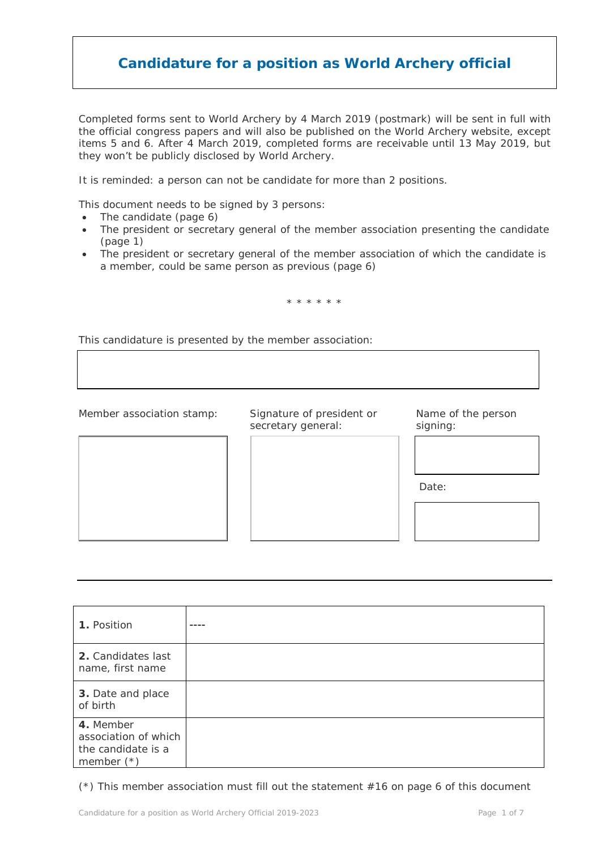Completed forms sent to World Archery by 4 March 2019 (postmark) will be sent in full with the official congress papers and will also be published on the World Archery website, except items 5 and 6. After 4 March 2019, completed forms are receivable until 13 May 2019, but they won't be publicly disclosed by World Archery.

It is reminded: a person can not be candidate for more than 2 positions.

This document needs to be signed by 3 persons:

- The candidate (page 6)
- The president or secretary general of the member association presenting the candidate (page 1)
- The president or secretary general of the member association of which the candidate is a member, could be same person as previous (page 6)

\* \* \* \* \* \*

This candidature is presented by the member association:

Member association stamp: Signature of president or Name of the person

secretary general: signing:

Date:

**1.** Position **2.** Candidates last name, first name **3.** Date and place of birth **4.** Member association of which the candidate is a member (\*) ----

(\*) This member association must fill out the statement #16 on page 6 of this document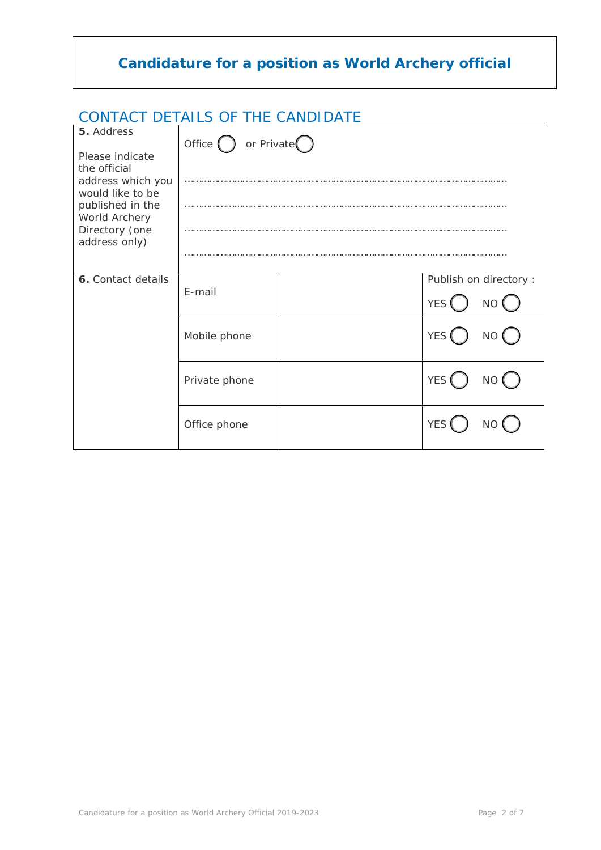### CONTACT DETAILS OF THE CANDIDATE

| 5. Address                                                                                                                                       |                                       |  |                                             |  |
|--------------------------------------------------------------------------------------------------------------------------------------------------|---------------------------------------|--|---------------------------------------------|--|
| Please indicate<br>the official<br>address which you<br>would like to be<br>published in the<br>World Archery<br>Directory (one<br>address only) | Office $\bigcap$ or Private $\bigcap$ |  |                                             |  |
|                                                                                                                                                  |                                       |  |                                             |  |
| 6. Contact details                                                                                                                               | E-mail                                |  | Publish on directory :<br><b>YES</b><br>NO( |  |
|                                                                                                                                                  | Mobile phone                          |  | YES <sup>(</sup><br>NO (                    |  |
|                                                                                                                                                  | Private phone                         |  | <b>YES</b><br>NO (                          |  |
|                                                                                                                                                  | Office phone                          |  | <b>YES</b>                                  |  |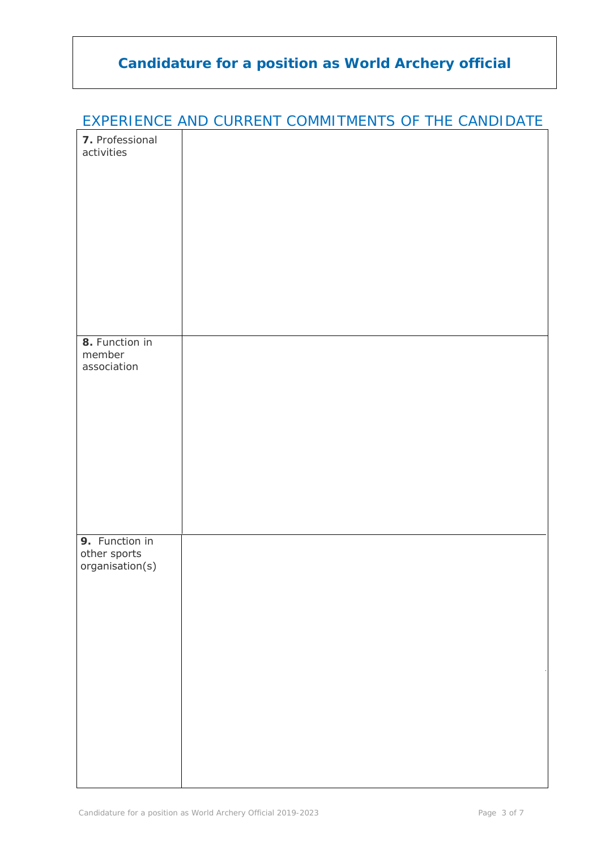|                               | <b>EXPERIENCE AND CURRENT COMMITMENTS OF THE CANDIDATE</b> |  |
|-------------------------------|------------------------------------------------------------|--|
| 7. Professional<br>activities |                                                            |  |
|                               |                                                            |  |
|                               |                                                            |  |
|                               |                                                            |  |
|                               |                                                            |  |
|                               |                                                            |  |
|                               |                                                            |  |
|                               |                                                            |  |
|                               |                                                            |  |
|                               |                                                            |  |
| 8. Function in<br>member      |                                                            |  |
| association                   |                                                            |  |
|                               |                                                            |  |
|                               |                                                            |  |
|                               |                                                            |  |
|                               |                                                            |  |
|                               |                                                            |  |
|                               |                                                            |  |
|                               |                                                            |  |
| 9. Function in                |                                                            |  |
| other sports                  |                                                            |  |
| organisation(s)               |                                                            |  |
|                               |                                                            |  |
|                               |                                                            |  |
|                               |                                                            |  |
|                               |                                                            |  |
|                               |                                                            |  |
|                               |                                                            |  |
|                               |                                                            |  |
|                               |                                                            |  |
|                               |                                                            |  |
|                               |                                                            |  |

#### EXPERIENCE AND CURRENT COMMITMENTS OF THE CANDIDATE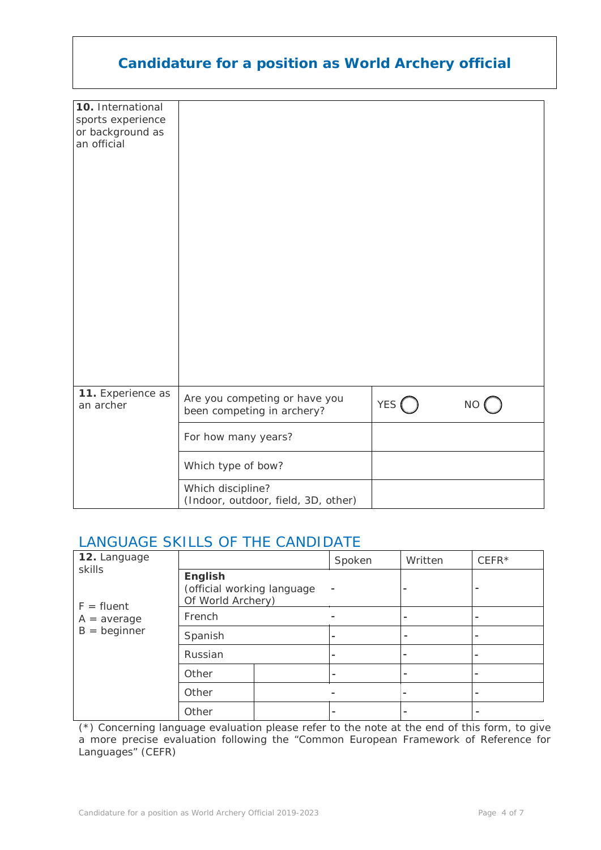| <b>Candidature for a position as World Archery official</b>               |                                                             |                  |           |  |
|---------------------------------------------------------------------------|-------------------------------------------------------------|------------------|-----------|--|
| 10. International<br>sports experience<br>or background as<br>an official |                                                             |                  |           |  |
| 11. Experience as<br>an archer                                            | Are you competing or have you<br>been competing in archery? | YES <sup>(</sup> | <b>NO</b> |  |
|                                                                           | For how many years?                                         |                  |           |  |
|                                                                           | Which type of bow?                                          |                  |           |  |
|                                                                           | Which discipline?<br>(Indoor, outdoor, field, 3D, other)    |                  |           |  |

## LANGUAGE SKILLS OF THE CANDIDATE

| 12. Language                                              |                                                                   |  | Spoken | Written                  | $CEFFR*$ |
|-----------------------------------------------------------|-------------------------------------------------------------------|--|--------|--------------------------|----------|
| skills<br>$F = fluent$<br>$A = average$<br>$B =$ beginner | <b>English</b><br>(official working language<br>Of World Archery) |  |        |                          |          |
|                                                           | French                                                            |  |        |                          |          |
|                                                           | Spanish                                                           |  | -      |                          |          |
|                                                           | Russian                                                           |  |        | $\overline{\phantom{0}}$ |          |
|                                                           | Other                                                             |  |        |                          |          |
|                                                           | Other                                                             |  |        | -                        |          |
|                                                           | Other                                                             |  |        |                          |          |

(\*) Concerning language evaluation please refer to the note at the end of this form, to give a more precise evaluation following the "Common European Framework of Reference for Languages" (CEFR)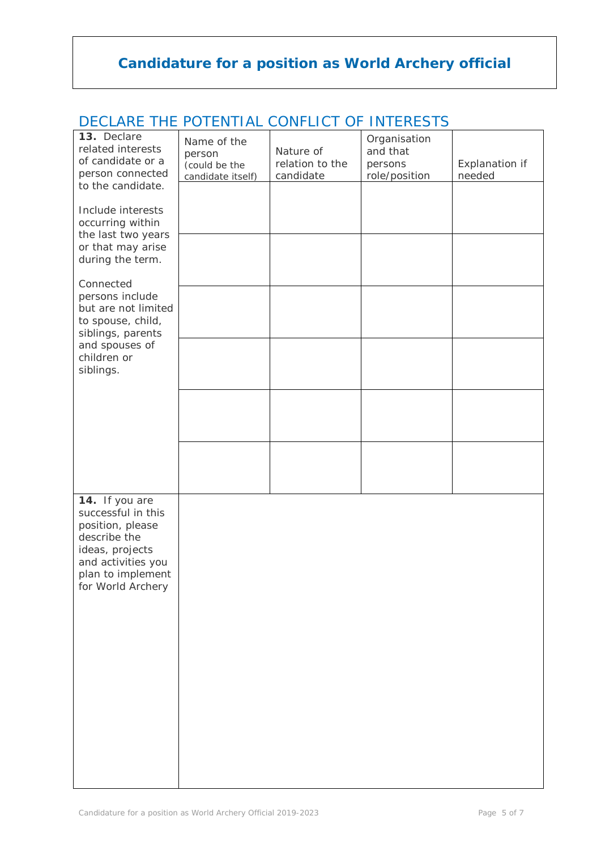| 13. Declare         | Name of the       |                 | Organisation  |                |
|---------------------|-------------------|-----------------|---------------|----------------|
| related interests   | person            | Nature of       | and that      |                |
| of candidate or a   | (could be the     | relation to the | persons       | Explanation if |
| person connected    | candidate itself) | candidate       | role/position | needed         |
| to the candidate.   |                   |                 |               |                |
|                     |                   |                 |               |                |
| Include interests   |                   |                 |               |                |
| occurring within    |                   |                 |               |                |
| the last two years  |                   |                 |               |                |
| or that may arise   |                   |                 |               |                |
| during the term.    |                   |                 |               |                |
|                     |                   |                 |               |                |
| Connected           |                   |                 |               |                |
| persons include     |                   |                 |               |                |
| but are not limited |                   |                 |               |                |
| to spouse, child,   |                   |                 |               |                |
| siblings, parents   |                   |                 |               |                |
| and spouses of      |                   |                 |               |                |
| children or         |                   |                 |               |                |
| siblings.           |                   |                 |               |                |
|                     |                   |                 |               |                |
|                     |                   |                 |               |                |
|                     |                   |                 |               |                |
|                     |                   |                 |               |                |
|                     |                   |                 |               |                |
|                     |                   |                 |               |                |
|                     |                   |                 |               |                |
|                     |                   |                 |               |                |
|                     |                   |                 |               |                |
| 14. If you are      |                   |                 |               |                |
| successful in this  |                   |                 |               |                |
| position, please    |                   |                 |               |                |
| describe the        |                   |                 |               |                |
|                     |                   |                 |               |                |
| ideas, projects     |                   |                 |               |                |
| and activities you  |                   |                 |               |                |
| plan to implement   |                   |                 |               |                |
| for World Archery   |                   |                 |               |                |
|                     |                   |                 |               |                |
|                     |                   |                 |               |                |
|                     |                   |                 |               |                |
|                     |                   |                 |               |                |
|                     |                   |                 |               |                |
|                     |                   |                 |               |                |
|                     |                   |                 |               |                |
|                     |                   |                 |               |                |
|                     |                   |                 |               |                |
|                     |                   |                 |               |                |
|                     |                   |                 |               |                |
|                     |                   |                 |               |                |
|                     |                   |                 |               |                |
|                     |                   |                 |               |                |
|                     |                   |                 |               |                |

#### DECLARE THE POTENTIAL CONFLICT OF INTERESTS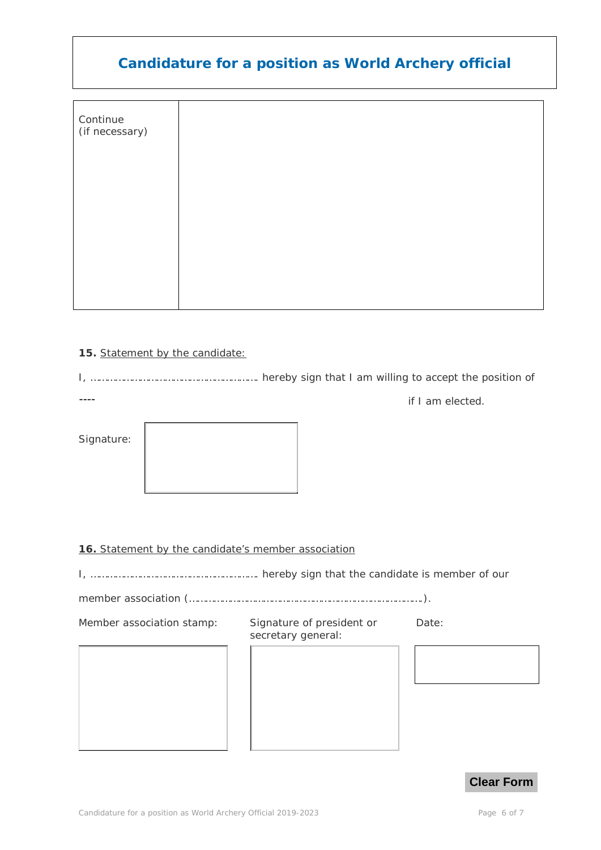| Continue<br>(if necessary) |  |
|----------------------------|--|
|                            |  |
|                            |  |
|                            |  |

#### **15.** Statement by the candidate*:*

I, ……………………………………………………. hereby sign that I am willing to accept the position of  $---$ 

Signature:

if I am elected.

#### **16.** Statement by the candidate's member association

I, ……………………………………………………. hereby sign that the candidate is member of our

member association (………………………………………………………………………….).

Member association stamp: Signature of president or

secretary general:

Date: